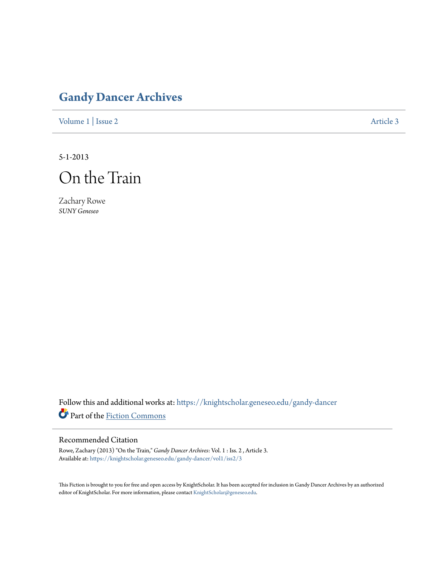## **[Gandy Dancer Archives](https://knightscholar.geneseo.edu/gandy-dancer?utm_source=knightscholar.geneseo.edu%2Fgandy-dancer%2Fvol1%2Fiss2%2F3&utm_medium=PDF&utm_campaign=PDFCoverPages)**

[Volume 1](https://knightscholar.geneseo.edu/gandy-dancer/vol1?utm_source=knightscholar.geneseo.edu%2Fgandy-dancer%2Fvol1%2Fiss2%2F3&utm_medium=PDF&utm_campaign=PDFCoverPages) | [Issue 2](https://knightscholar.geneseo.edu/gandy-dancer/vol1/iss2?utm_source=knightscholar.geneseo.edu%2Fgandy-dancer%2Fvol1%2Fiss2%2F3&utm_medium=PDF&utm_campaign=PDFCoverPages) [Article 3](https://knightscholar.geneseo.edu/gandy-dancer/vol1/iss2/3?utm_source=knightscholar.geneseo.edu%2Fgandy-dancer%2Fvol1%2Fiss2%2F3&utm_medium=PDF&utm_campaign=PDFCoverPages)

5-1-2013



Zachary Rowe *SUNY Geneseo*

Follow this and additional works at: [https://knightscholar.geneseo.edu/gandy-dancer](https://knightscholar.geneseo.edu/gandy-dancer?utm_source=knightscholar.geneseo.edu%2Fgandy-dancer%2Fvol1%2Fiss2%2F3&utm_medium=PDF&utm_campaign=PDFCoverPages) Part of the [Fiction Commons](http://network.bepress.com/hgg/discipline/1151?utm_source=knightscholar.geneseo.edu%2Fgandy-dancer%2Fvol1%2Fiss2%2F3&utm_medium=PDF&utm_campaign=PDFCoverPages)

## Recommended Citation

Rowe, Zachary (2013) "On the Train," *Gandy Dancer Archives*: Vol. 1 : Iss. 2 , Article 3. Available at: [https://knightscholar.geneseo.edu/gandy-dancer/vol1/iss2/3](https://knightscholar.geneseo.edu/gandy-dancer/vol1/iss2/3?utm_source=knightscholar.geneseo.edu%2Fgandy-dancer%2Fvol1%2Fiss2%2F3&utm_medium=PDF&utm_campaign=PDFCoverPages)

This Fiction is brought to you for free and open access by KnightScholar. It has been accepted for inclusion in Gandy Dancer Archives by an authorized editor of KnightScholar. For more information, please contact [KnightScholar@geneseo.edu.](mailto:KnightScholar@geneseo.edu)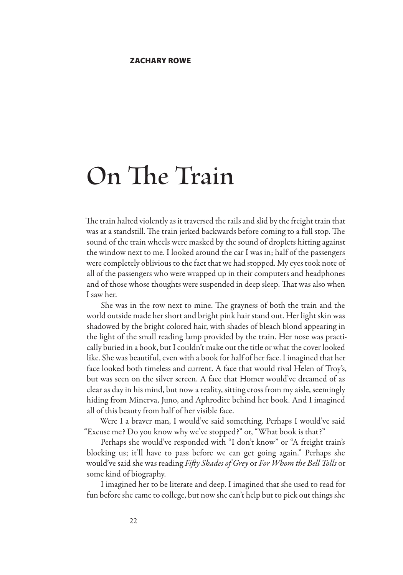## **On The Train**

The train halted violently as it traversed the rails and slid by the freight train that was at a standstill. The train jerked backwards before coming to a full stop. The sound of the train wheels were masked by the sound of droplets hitting against the window next to me. I looked around the car I was in; half of the passengers were completely oblivious to the fact that we had stopped. My eyes took note of all of the passengers who were wrapped up in their computers and headphones and of those whose thoughts were suspended in deep sleep. That was also when I saw her.

She was in the row next to mine. The grayness of both the train and the world outside made her short and bright pink hair stand out. Her light skin was shadowed by the bright colored hair, with shades of bleach blond appearing in the light of the small reading lamp provided by the train. Her nose was practically buried in a book, but I couldn't make out the title or what the cover looked like. She was beautiful, even with a book for half of her face. I imagined that her face looked both timeless and current. A face that would rival Helen of Troy's, but was seen on the silver screen. A face that Homer would've dreamed of as clear as day in his mind, but now a reality, sitting cross from my aisle, seemingly hiding from Minerva, Juno, and Aphrodite behind her book. And I imagined all of this beauty from half of her visible face.

Were I a braver man, I would've said something. Perhaps I would've said "Excuse me? Do you know why we've stopped?" or, "What book is that?"

Perhaps she would've responded with "I don't know" or "A freight train's blocking us; it'll have to pass before we can get going again." Perhaps she would've said she was reading *Fifty Shades of Grey* or *For Whom the Bell Tolls* or some kind of biography.

I imagined her to be literate and deep. I imagined that she used to read for fun before she came to college, but now she can't help but to pick out things she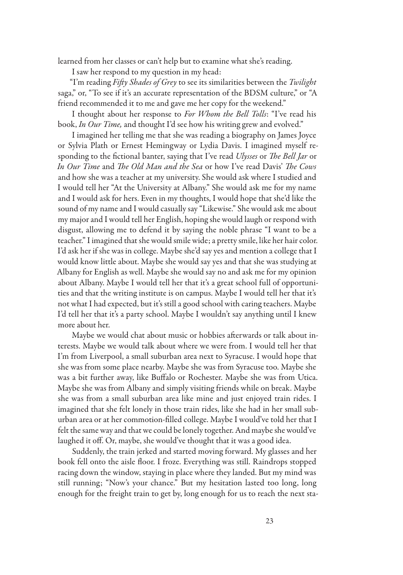learned from her classes or can't help but to examine what she's reading.

I saw her respond to my question in my head:

"I'm reading *Fifty Shades of Grey* to see its similarities between the *Twilight* saga," or, "To see if it's an accurate representation of the BDSM culture," or "A friend recommended it to me and gave me her copy for the weekend."

I thought about her response to *For Whom the Bell Tolls*: "I've read his book, *In Our Time,* and thought I'd see how his writing grew and evolved."

I imagined her telling me that she was reading a biography on James Joyce or Sylvia Plath or Ernest Hemingway or Lydia Davis. I imagined myself responding to the fictional banter, saying that I've read *Ulysses* or *The Bell Jar* or *In Our Time* and *The Old Man and the Sea* or how I've read Davis' *The Cows* and how she was a teacher at my university. She would ask where I studied and I would tell her "At the University at Albany." She would ask me for my name and I would ask for hers. Even in my thoughts, I would hope that she'd like the sound of my name and I would casually say "Likewise." She would ask me about my major and I would tell her English, hoping she would laugh or respond with disgust, allowing me to defend it by saying the noble phrase "I want to be a teacher." I imagined that she would smile wide; a pretty smile, like her hair color. I'd ask her if she was in college. Maybe she'd say yes and mention a college that I would know little about. Maybe she would say yes and that she was studying at Albany for English as well. Maybe she would say no and ask me for my opinion about Albany. Maybe I would tell her that it's a great school full of opportunities and that the writing institute is on campus. Maybe I would tell her that it's not what I had expected, but it's still a good school with caring teachers. Maybe I'd tell her that it's a party school. Maybe I wouldn't say anything until I knew more about her.

Maybe we would chat about music or hobbies afterwards or talk about interests. Maybe we would talk about where we were from. I would tell her that I'm from Liverpool, a small suburban area next to Syracuse. I would hope that she was from some place nearby. Maybe she was from Syracuse too. Maybe she was a bit further away, like Buffalo or Rochester. Maybe she was from Utica. Maybe she was from Albany and simply visiting friends while on break. Maybe she was from a small suburban area like mine and just enjoyed train rides. I imagined that she felt lonely in those train rides, like she had in her small suburban area or at her commotion-filled college. Maybe I would've told her that I felt the same way and that we could be lonely together. And maybe she would've laughed it off. Or, maybe, she would've thought that it was a good idea.

Suddenly, the train jerked and started moving forward. My glasses and her book fell onto the aisle floor. I froze. Everything was still. Raindrops stopped racing down the window, staying in place where they landed. But my mind was still running; "Now's your chance." But my hesitation lasted too long, long enough for the freight train to get by, long enough for us to reach the next sta